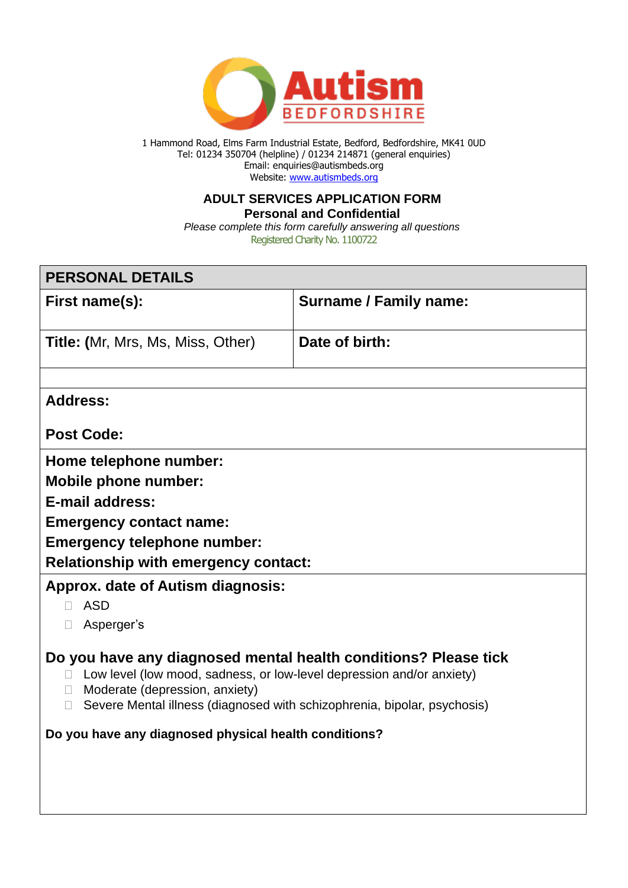

1 Hammond Road, Elms Farm Industrial Estate, Bedford, Bedfordshire, MK41 0UD Tel: 01234 350704 (helpline) / 01234 214871 (general enquiries) Email: enquiries@autismbeds.org Website: [www.autismbeds.org](http://www.autismbeds.org/)

#### **ADULT SERVICES APPLICATION FORM Personal and Confidential**

Registered Charity No. 1100722 *Please complete this form carefully answering all questions*

| <b>PERSONAL DETAILS</b>                                                                                                                                                                                                                                                    |                               |  |  |
|----------------------------------------------------------------------------------------------------------------------------------------------------------------------------------------------------------------------------------------------------------------------------|-------------------------------|--|--|
| First name(s):                                                                                                                                                                                                                                                             | <b>Surname / Family name:</b> |  |  |
| Title: (Mr, Mrs, Ms, Miss, Other)                                                                                                                                                                                                                                          | Date of birth:                |  |  |
|                                                                                                                                                                                                                                                                            |                               |  |  |
| <b>Address:</b>                                                                                                                                                                                                                                                            |                               |  |  |
| <b>Post Code:</b>                                                                                                                                                                                                                                                          |                               |  |  |
| Home telephone number:                                                                                                                                                                                                                                                     |                               |  |  |
| <b>Mobile phone number:</b>                                                                                                                                                                                                                                                |                               |  |  |
| <b>E-mail address:</b>                                                                                                                                                                                                                                                     |                               |  |  |
| <b>Emergency contact name:</b>                                                                                                                                                                                                                                             |                               |  |  |
| <b>Emergency telephone number:</b>                                                                                                                                                                                                                                         |                               |  |  |
| <b>Relationship with emergency contact:</b>                                                                                                                                                                                                                                |                               |  |  |
| <b>Approx. date of Autism diagnosis:</b>                                                                                                                                                                                                                                   |                               |  |  |
| <b>ASD</b><br>П                                                                                                                                                                                                                                                            |                               |  |  |
| Asperger's<br>$\Box$                                                                                                                                                                                                                                                       |                               |  |  |
| Do you have any diagnosed mental health conditions? Please tick<br>Low level (low mood, sadness, or low-level depression and/or anxiety)<br>$\Box$<br>Moderate (depression, anxiety)<br>Severe Mental illness (diagnosed with schizophrenia, bipolar, psychosis)<br>$\Box$ |                               |  |  |
|                                                                                                                                                                                                                                                                            |                               |  |  |
| Do you have any diagnosed physical health conditions?                                                                                                                                                                                                                      |                               |  |  |
|                                                                                                                                                                                                                                                                            |                               |  |  |
|                                                                                                                                                                                                                                                                            |                               |  |  |
|                                                                                                                                                                                                                                                                            |                               |  |  |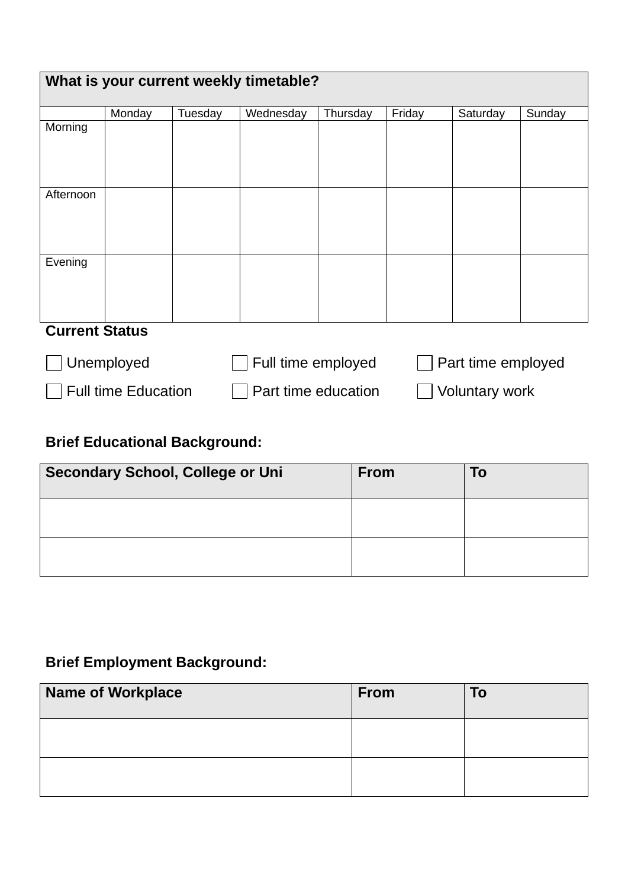| What is your current weekly timetable? |                            |         |                     |          |                       |                    |        |
|----------------------------------------|----------------------------|---------|---------------------|----------|-----------------------|--------------------|--------|
|                                        | Monday                     | Tuesday | Wednesday           | Thursday | Friday                | Saturday           | Sunday |
| Morning                                |                            |         |                     |          |                       |                    |        |
| Afternoon                              |                            |         |                     |          |                       |                    |        |
| Evening                                |                            |         |                     |          |                       |                    |        |
| <b>Current Status</b>                  |                            |         |                     |          |                       |                    |        |
|                                        | Unemployed                 |         | Full time employed  |          |                       | Part time employed |        |
|                                        | <b>Full time Education</b> |         | Part time education |          | <b>Voluntary work</b> |                    |        |

# **Brief Educational Background:**

| <b>Secondary School, College or Uni</b> | <b>From</b> | To |
|-----------------------------------------|-------------|----|
|                                         |             |    |
|                                         |             |    |

# **Brief Employment Background:**

| Name of Workplace | <b>From</b> | To |
|-------------------|-------------|----|
|                   |             |    |
|                   |             |    |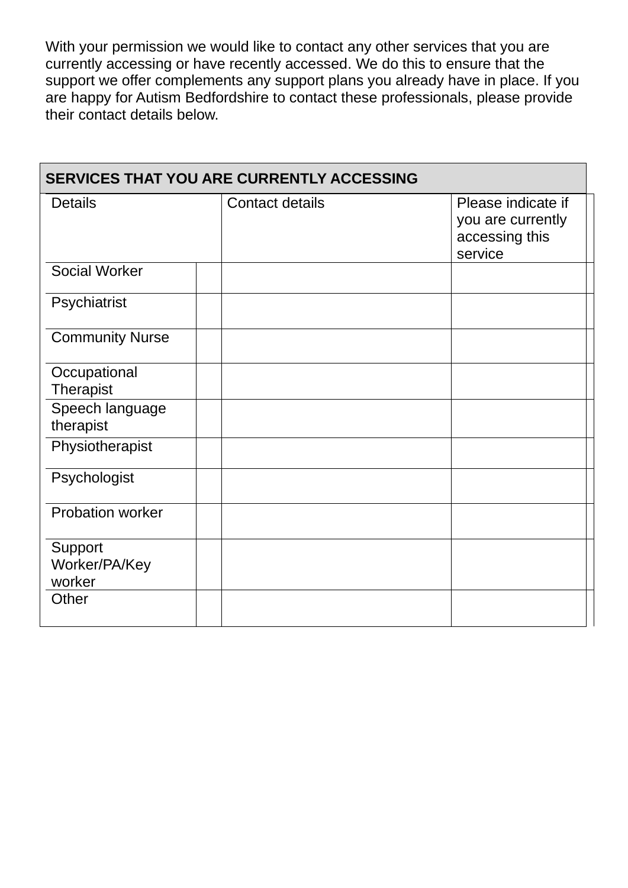With your permission we would like to contact any other services that you are currently accessing or have recently accessed. We do this to ensure that the support we offer complements any support plans you already have in place. If you are happy for Autism Bedfordshire to contact these professionals, please provide their contact details below.

| <b>SERVICES THAT YOU ARE CURRENTLY ACCESSING</b> |                        |                                                                      |  |  |
|--------------------------------------------------|------------------------|----------------------------------------------------------------------|--|--|
| <b>Details</b>                                   | <b>Contact details</b> | Please indicate if<br>you are currently<br>accessing this<br>service |  |  |
| <b>Social Worker</b>                             |                        |                                                                      |  |  |
| Psychiatrist                                     |                        |                                                                      |  |  |
| <b>Community Nurse</b>                           |                        |                                                                      |  |  |
| Occupational<br>Therapist                        |                        |                                                                      |  |  |
| Speech language<br>therapist                     |                        |                                                                      |  |  |
| Physiotherapist                                  |                        |                                                                      |  |  |
| Psychologist                                     |                        |                                                                      |  |  |
| <b>Probation worker</b>                          |                        |                                                                      |  |  |
| Support<br>Worker/PA/Key<br>worker               |                        |                                                                      |  |  |
| Other                                            |                        |                                                                      |  |  |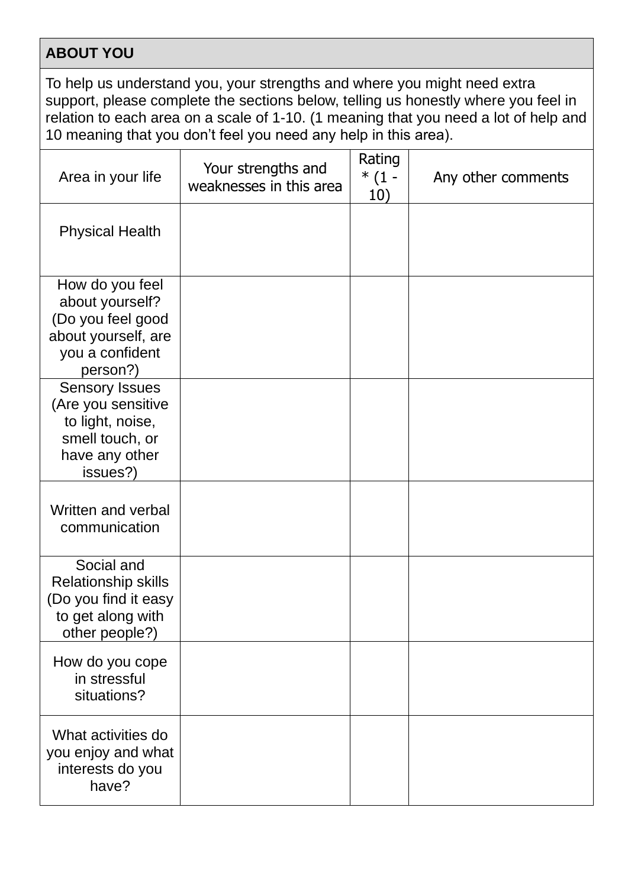## **ABOUT YOU**

To help us understand you, your strengths and where you might need extra support, please complete the sections below, telling us honestly where you feel in relation to each area on a scale of 1-10. (1 meaning that you need a lot of help and 10 meaning that you don't feel you need any help in this area).

| Area in your life                                                                                                | Your strengths and<br>weaknesses in this area | Rating<br>$*(1 -$<br>10) | Any other comments |
|------------------------------------------------------------------------------------------------------------------|-----------------------------------------------|--------------------------|--------------------|
| <b>Physical Health</b>                                                                                           |                                               |                          |                    |
| How do you feel<br>about yourself?<br>(Do you feel good<br>about yourself, are<br>you a confident<br>person?)    |                                               |                          |                    |
| <b>Sensory Issues</b><br>(Are you sensitive<br>to light, noise,<br>smell touch, or<br>have any other<br>issues?) |                                               |                          |                    |
| Written and verbal<br>communication                                                                              |                                               |                          |                    |
| Social and<br><b>Relationship skills</b><br>(Do you find it easy<br>to get along with<br>other people?)          |                                               |                          |                    |
| How do you cope<br>in stressful<br>situations?                                                                   |                                               |                          |                    |
| What activities do<br>you enjoy and what<br>interests do you<br>have?                                            |                                               |                          |                    |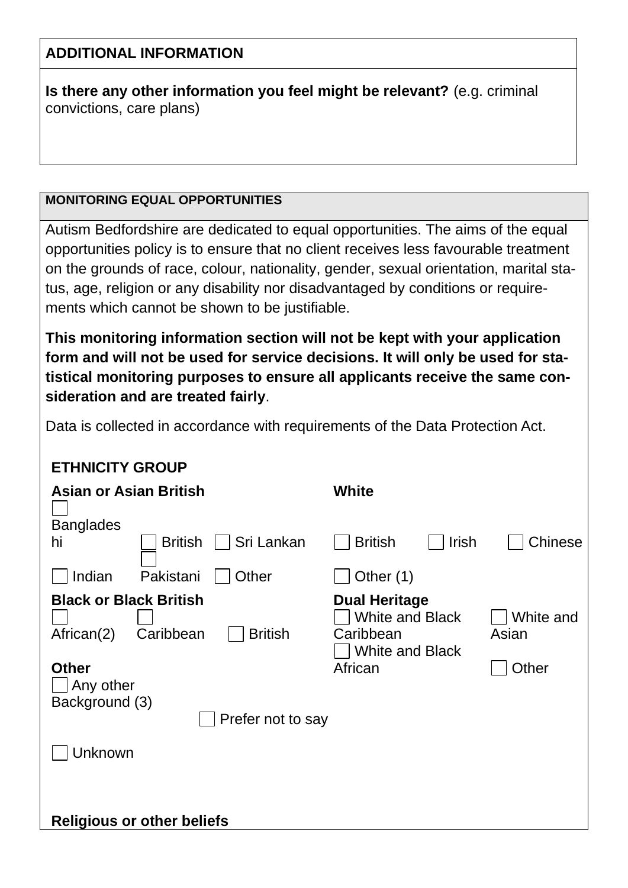## **ADDITIONAL INFORMATION**

**Is there any other information you feel might be relevant?** (e.g. criminal convictions, care plans)

## **MONITORING EQUAL OPPORTUNITIES**

Autism Bedfordshire are dedicated to equal opportunities. The aims of the equal opportunities policy is to ensure that no client receives less favourable treatment on the grounds of race, colour, nationality, gender, sexual orientation, marital status, age, religion or any disability nor disadvantaged by conditions or requirements which cannot be shown to be justifiable.

**This monitoring information section will not be kept with your application form and will not be used for service decisions. It will only be used for statistical monitoring purposes to ensure all applicants receive the same consideration and are treated fairly**.

Data is collected in accordance with requirements of the Data Protection Act.

## **ETHNICITY GROUP**

| <b>Asian or Asian British</b>                                                                                                                  | <b>White</b>                                                                                                                    |  |  |  |
|------------------------------------------------------------------------------------------------------------------------------------------------|---------------------------------------------------------------------------------------------------------------------------------|--|--|--|
| <b>Banglades</b><br>Sri Lankan<br><b>British</b><br>hi                                                                                         | Irish<br><b>Chinese</b><br><b>British</b>                                                                                       |  |  |  |
| Indian<br>Pakistani<br>Other                                                                                                                   | Other (1)                                                                                                                       |  |  |  |
| <b>Black or Black British</b><br><b>British</b><br>African(2)<br>Caribbean<br><b>Other</b><br>Any other<br>Background (3)<br>Prefer not to say | <b>Dual Heritage</b><br><b>White and Black</b><br>White and<br>Caribbean<br>Asian<br><b>White and Black</b><br>African<br>Other |  |  |  |
| Unknown                                                                                                                                        |                                                                                                                                 |  |  |  |
|                                                                                                                                                |                                                                                                                                 |  |  |  |
| <b>Religious or other beliefs</b>                                                                                                              |                                                                                                                                 |  |  |  |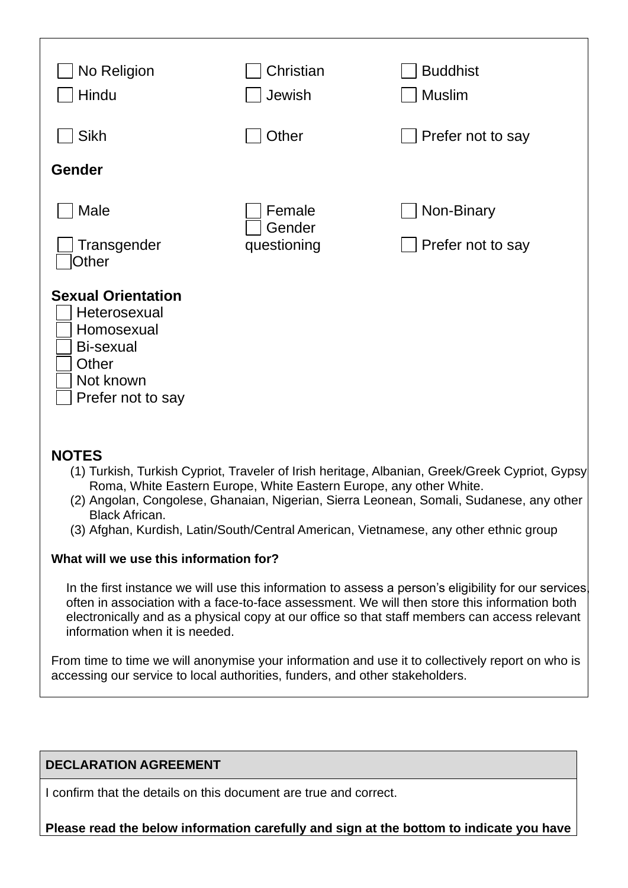| No Religion<br>Hindu                                                                                            | Christian<br>Jewish             | <b>Buddhist</b><br><b>Muslim</b> |
|-----------------------------------------------------------------------------------------------------------------|---------------------------------|----------------------------------|
| <b>Sikh</b>                                                                                                     | Other                           | Prefer not to say                |
| <b>Gender</b>                                                                                                   |                                 |                                  |
| Male<br>Transgender<br>Other                                                                                    | Female<br>Gender<br>questioning | Non-Binary<br>Prefer not to say  |
| <b>Sexual Orientation</b><br>Heterosexual<br>Homosexual<br>Bi-sexual<br>Other<br>Not known<br>Prefer not to say |                                 |                                  |

## **NOTES**

- (1) Turkish, Turkish Cypriot, Traveler of Irish heritage, Albanian, Greek/Greek Cypriot, Gypsy Roma, White Eastern Europe, White Eastern Europe, any other White.
- (2) Angolan, Congolese, Ghanaian, Nigerian, Sierra Leonean, Somali, Sudanese, any other Black African.
- (3) Afghan, Kurdish, Latin/South/Central American, Vietnamese, any other ethnic group

### **What will we use this information for?**

In the first instance we will use this information to assess a person's eligibility for our services often in association with a face-to-face assessment. We will then store this information both electronically and as a physical copy at our office so that staff members can access relevant information when it is needed.

From time to time we will anonymise your information and use it to collectively report on who is accessing our service to local authorities, funders, and other stakeholders.

### **DECLARATION AGREEMENT**

I confirm that the details on this document are true and correct.

**Please read the below information carefully and sign at the bottom to indicate you have**